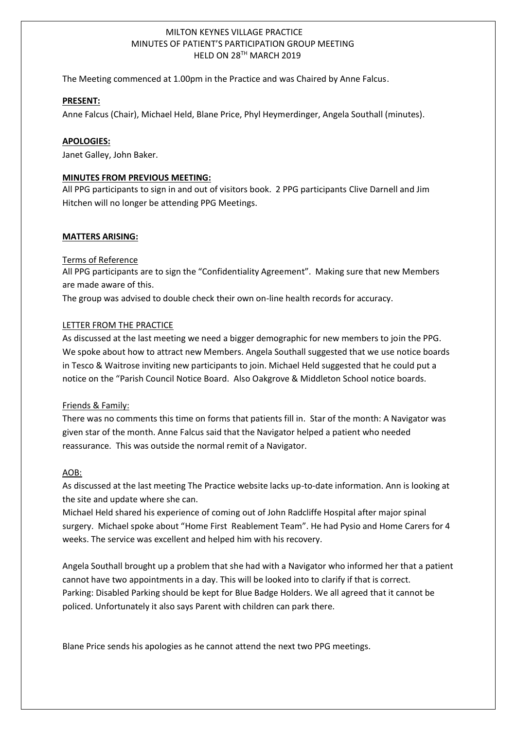# MILTON KEYNES VILLAGE PRACTICE MINUTES OF PATIENT'S PARTICIPATION GROUP MEETING HELD ON 28TH MARCH 2019

The Meeting commenced at 1.00pm in the Practice and was Chaired by Anne Falcus.

#### **PRESENT:**

1

Anne Falcus (Chair), Michael Held, Blane Price, Phyl Heymerdinger, Angela Southall (minutes).

### **APOLOGIES:**

Janet Galley, John Baker.

### **MINUTES FROM PREVIOUS MEETING:**

All PPG participants to sign in and out of visitors book. 2 PPG participants Clive Darnell and Jim Hitchen will no longer be attending PPG Meetings.

#### **MATTERS ARISING:**

## Terms of Reference

All PPG participants are to sign the "Confidentiality Agreement". Making sure that new Members are made aware of this.

The group was advised to double check their own on-line health records for accuracy.

#### LETTER FROM THE PRACTICE

As discussed at the last meeting we need a bigger demographic for new members to join the PPG. We spoke about how to attract new Members. Angela Southall suggested that we use notice boards in Tesco & Waitrose inviting new participants to join. Michael Held suggested that he could put a notice on the "Parish Council Notice Board. Also Oakgrove & Middleton School notice boards.

#### Friends & Family:

There was no comments this time on forms that patients fill in. Star of the month: A Navigator was given star of the month. Anne Falcus said that the Navigator helped a patient who needed reassurance. This was outside the normal remit of a Navigator.

# AOB:

As discussed at the last meeting The Practice website lacks up-to-date information. Ann is looking at the site and update where she can.

Michael Held shared his experience of coming out of John Radcliffe Hospital after major spinal surgery. Michael spoke about "Home First Reablement Team". He had Pysio and Home Carers for 4 weeks. The service was excellent and helped him with his recovery.

Angela Southall brought up a problem that she had with a Navigator who informed her that a patient cannot have two appointments in a day. This will be looked into to clarify if that is correct. Parking: Disabled Parking should be kept for Blue Badge Holders. We all agreed that it cannot be policed. Unfortunately it also says Parent with children can park there.

Blane Price sends his apologies as he cannot attend the next two PPG meetings.